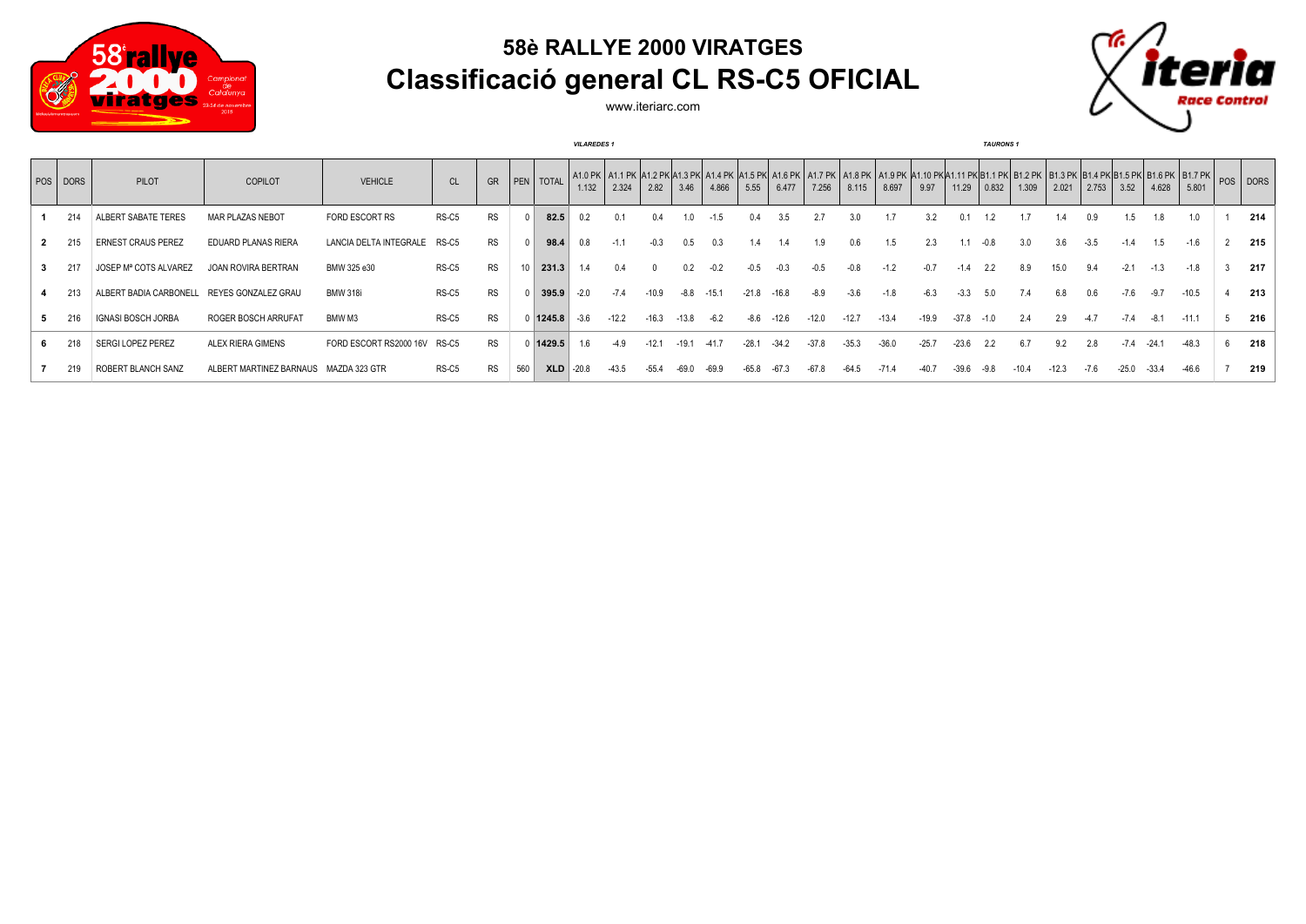

## **58è RALLYE 2000 VIRATGES Classificació general CL RS-C5 OFICIAL**



www.iteriarc.com

|          |                                   |                                       | <b>VILAREDES 1</b>           |               |           |     |                  |         |         |         |         |         |         | <b>TAURONS</b> 1 |         |         |         |         |         |        |         |         |        |         |         |                                                                                                                                                                                                                                         |  |     |
|----------|-----------------------------------|---------------------------------------|------------------------------|---------------|-----------|-----|------------------|---------|---------|---------|---------|---------|---------|------------------|---------|---------|---------|---------|---------|--------|---------|---------|--------|---------|---------|-----------------------------------------------------------------------------------------------------------------------------------------------------------------------------------------------------------------------------------------|--|-----|
| POS DORS | <b>PILOT</b>                      | <b>COPILOT</b>                        | <b>VEHICLE</b>               | <sub>CL</sub> | GR        |     | <b>PEN</b> TOTAL | 1.132   | 2.324   | 2.82    | 3.46    | 4.866   | 5.55    | 6.477            | 7.256   | 8.115   | 8.697   | 9.97    | 11.29   | 0.832  | 1.309   | 2.021   | 2.753  | 3.52    | 4.628   | A1.0 PK A1.1 PK A1.2 PK A1.3 PK A1.4 PK A1.5 PK A1.6 PK A1.7 PK A1.8 PK A1.9 PK A1.10 PK A1.11 PK B1.1 PK B1.2 PK B1.3 PK B1.6 PK B1.5 PK B1.7 PK B1.7 PK B1.7 PK B1.7 PK B1.7 PK B1.7 PK B1.7 PK B1.7 PK B1.7 PK B1.7 PK B1.7<br>5.801 |  |     |
| 214      | ALBERT SABATE TERES               | MAR PLAZAS NEBOT                      | <b>FORD ESCORT RS</b>        | RS-C5         | <b>RS</b> |     | 82.5             | 0.2     | 0.1     | 0.4     | 1.0     | $-1.5$  | 0.4     | $3.5^{\circ}$    |         | 3.0     |         |         |         |        |         | 1.4     | 0.9    | 1.5     | 1.8     | 1.0                                                                                                                                                                                                                                     |  | 214 |
| 215      | <b>ERNEST CRAUS PEREZ</b>         | <b>EDUARD PLANAS RIERA</b>            | LANCIA DELTA INTEGRALE RS-C5 |               | <b>RS</b> |     | 98.4             | 0.8     |         | $-0.3$  | 0.5     | 0.3     |         |                  | 1.9     | 0.6     |         |         |         |        | 3.0     | 3.6     | $-3.5$ |         | 1.5     | $-1.6$                                                                                                                                                                                                                                  |  | 215 |
| 217      | JOSEP M <sup>ª</sup> COTS ALVAREZ | JOAN ROVIRA BERTRAN                   | BMW 325 e30                  | RS-C5         | <b>RS</b> |     | 231.3            | 1.4     | 0.4     |         | 0.2     | $-0.2$  | $-0.5$  | $-0.3$           | -0.5    | -0.8    | $-1.2$  |         | $-1.4$  | 2.2    | 8.9     | 15.0    | 9.4    | $-2.1$  | $-1.3$  | $-1.8$                                                                                                                                                                                                                                  |  | 217 |
| 213      | ALBERT BADIA CARBONELL            | REYES GONZALEZ GRAU                   | <b>BMW 318i</b>              | RS-C5         | <b>RS</b> |     | 395.9            | $-2.0$  | $-7.4$  | $-10.9$ | $-8.8$  | $-15.1$ | $-21.8$ | $-16.8$          | $-8.9$  | $-3.6$  | $-1.8$  | -6.3    | $-3.3$  | 50     |         | 6.8     | 0.6    | $-7.6$  | $-9.7$  | $-10.5$                                                                                                                                                                                                                                 |  | 213 |
| 216      | <b>IGNASI BOSCH JORBA</b>         | ROGER BOSCH ARRUFAT                   | BMW M3                       | RS-C5         | <b>RS</b> |     | $0$ 1245.8       | $-3.6$  | $-12.2$ | $-16.3$ | $-13.8$ | $-6.2$  | -8.6    | -12.6            | $-12.0$ | $-12.7$ | $-13.4$ | $-19.9$ | $-37.8$ | $-1.0$ | 2.4     | 2.9     |        | $-7.4$  | $-8.1$  | $-11.1$                                                                                                                                                                                                                                 |  | 216 |
| 218      | SERGI LOPEZ PEREZ                 | ALEX RIERA GIMENS                     | FORD ESCORT RS2000 16V RS-C5 |               | <b>RS</b> |     | 0 1429.5         | 1.6     | $-4.9$  | $-12.1$ | $-19.1$ | $-41.7$ | $-28.1$ | -34.2            | $-37.8$ | $-35.3$ | $-36.0$ | $-25.7$ | $-23.6$ | 2.2    | 6.7     | 9.2     | 2.8    | $-7.4$  | $-24.1$ | $-48.3$                                                                                                                                                                                                                                 |  | 218 |
| 219      | ROBERT BLANCH SANZ                | ALBERT MARTINEZ BARNAUS MAZDA 323 GTR |                              | RS-C5         | <b>RS</b> | 560 | <b>XLD</b>       | $-20.8$ | $-43.5$ | $-55.4$ | $-69.0$ | $-69.9$ | $-65.8$ | $-67.3$          | $-67.8$ | $-64.5$ | $-71.4$ | $-40.7$ | $-396$  | -98    | $-10.4$ | $-12.3$ | $-7.6$ | $-25.0$ | $-33.4$ | $-46.6$                                                                                                                                                                                                                                 |  | 219 |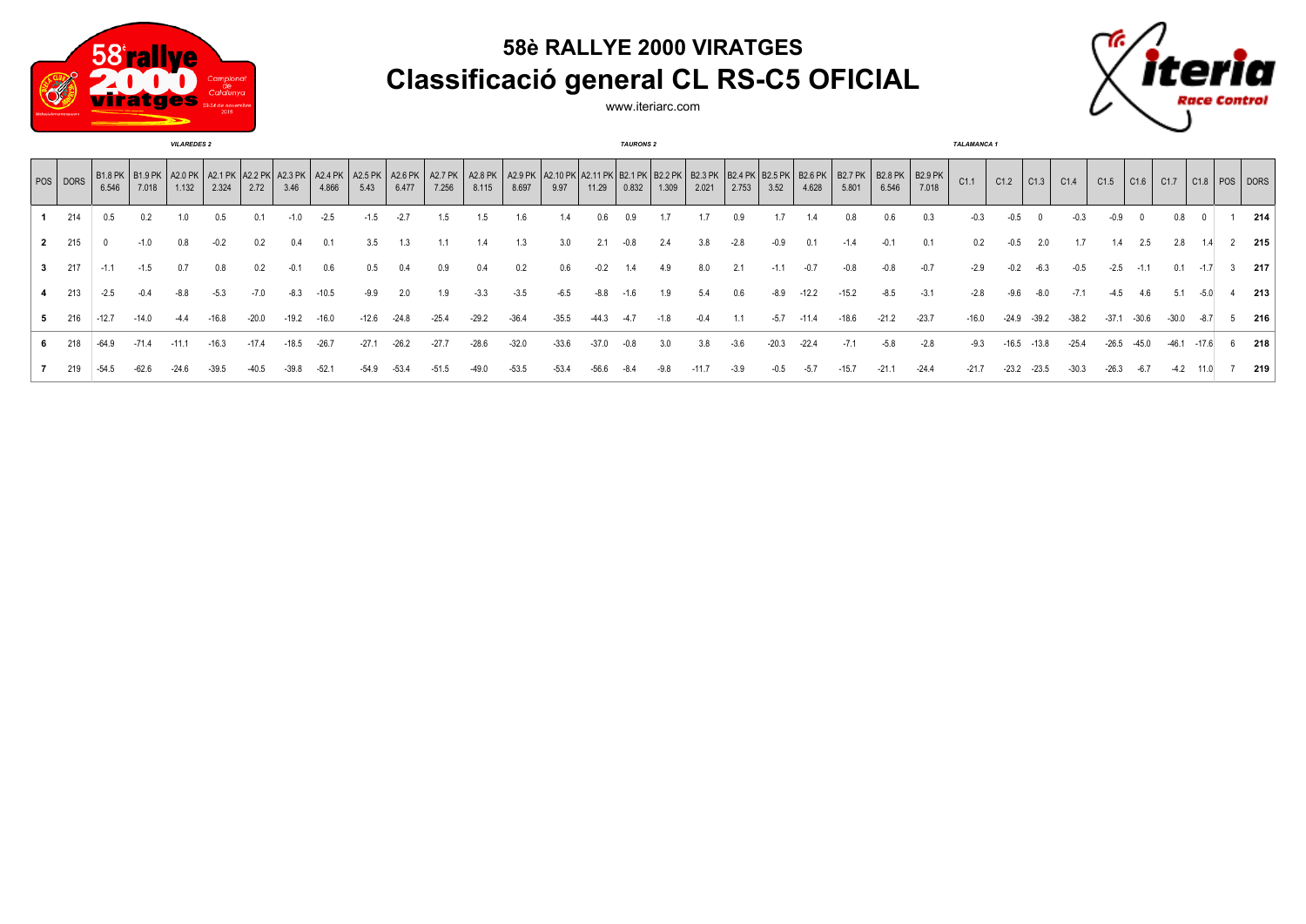

## **58è RALLYE 2000 VIRATGES Classificació general CL RS-C5 OFICIAL**



www.iteriarc.com

|             | <b>VILAREDES 2</b> |         |                                                                                                              |         |         |         |         |         |         |         |         |         |         |                                                                                                                                           | <b>TAURONS 2</b> |        |        |         |        |         |         |         |         |         |         | <b>TALAMANCA1</b> |                          |         |         |                      |                                         |         |  |     |
|-------------|--------------------|---------|--------------------------------------------------------------------------------------------------------------|---------|---------|---------|---------|---------|---------|---------|---------|---------|---------|-------------------------------------------------------------------------------------------------------------------------------------------|------------------|--------|--------|---------|--------|---------|---------|---------|---------|---------|---------|-------------------|--------------------------|---------|---------|----------------------|-----------------------------------------|---------|--|-----|
|             | $ pos $ DORS       | 6.546   | B1.8 PK   B1.9 PK   A2.0 PK   A2.1 PK   A2.2 PK   A2.3 PK   A2.4 PK   A2.5 PK   A2.6 PK   A2.7 PK  <br>7.018 | 1.132   | 2.324   | 2.72    | 3.46    | 4.866   | 5.43    | 6.477   | 7.256   | 8.115   | 8.697   | A2.8 PK   A2.9 PK   A2.10 PK   A2.11 PK   B2.1 PK   B2.2 PK   B2.3 PK   B2.4 PK   B2.5 PK   B2.6 PK   B2.7 PK   B2.8 PK   B2.9 PK<br>9.97 | 11.29            | 0.832  | 1.309  | 2.021   | 2.753  | 3.52    | 4.628   | 5.801   | 6.546   | 7.018   | C1.1    | C1.2              | $\vert$ C <sub>1.3</sub> | C1.4    | C1.5    | $\vert$ C1.6 $\vert$ | C1.7 $\mid$ C1.8 $\mid$ POS $\mid$ DORS |         |  |     |
|             | 214                | 0.5     |                                                                                                              |         | $0.5\,$ |         |         | $-2.5$  | $-1.5$  | $-2.7$  | 1.5     |         | 1.6     |                                                                                                                                           | J.6              | 0.9    |        |         | 0.9    |         | 1.4     | 0.8     |         |         |         |                   |                          |         | -0.9    |                      | $0.8\,$                                 |         |  | 214 |
|             | 2 215              |         | $-1.0$                                                                                                       | 0.8     | $-0.2$  | 0.2     | 0.4     |         | 3.5     | 1.3     | 1.1     |         | 1.3     | 3.0                                                                                                                                       |                  | $-0.8$ | 2.4    | 3.8     | $-2.8$ | $-0.9$  | 0.1     | $-1.4$  | $-0.1$  | 0.1     | 0.2     | $-0.5$            | 2.0                      | 1.7     | 1.4     | 2.5                  | 2.8                                     |         |  | 215 |
| $3^{\circ}$ | 217                | $-1.1$  | $-1.5$                                                                                                       | 0.7     | 0.8     | 0.2     | $-0.1$  | 0.6     | 0.5     | 0.4     | 0.9     | 0.4     | 0.2     | 0.6                                                                                                                                       | $-0.2$           | 1.4    | 4.9    | 8.0     | 2.1    | $-1.1$  | $-0.7$  | $-0.8$  | $-0.8$  | $-0.7$  | $-2.9$  | $-0.2$            | $-6.3$                   | $-0.5$  | $-2.5$  | $-1.1$               | 0.1                                     | $-1.7$  |  | 217 |
|             | 213                | $-2.5$  | $-0.4$                                                                                                       | $-8.8$  | $-5.3$  | $-7.0$  | -8.3    | $-10.5$ | $-9.9$  | 2.0     | 1.9     | $-3.3$  | $-3.5$  | $-6.5$                                                                                                                                    | $-8.8$           | -1.6   | 1.9    | 5.4     | 0.6    | $-8.9$  | $-12.2$ | $-15.2$ | $-8.5$  | $-3.1$  | $-2.8$  | $-9.6$            | $-8.0$                   | $-7.1$  | $-4.5$  | 4.6                  | 5.1                                     | $-5.0$  |  | 213 |
|             | 216                | $-12.7$ | $-14.0$                                                                                                      |         | $-16.8$ | $-20.0$ | $-19.2$ | $-16.0$ | $-12.6$ | $-24.8$ | $-25.4$ | $-29.2$ | $-36.4$ | $-35.5$                                                                                                                                   | $-44.3$          |        | $-1.8$ | $-0.4$  |        | $-5.7$  | $-11.4$ | $-18.6$ | $-21.2$ | $-23.7$ | $-16.0$ | $-24.9$           | $-39.2$                  | $-38.2$ | $-37.1$ | -30.6                | $-30.0$                                 | -8.7    |  | 216 |
|             | 218                | $-64.9$ | $-71.4$                                                                                                      | $-11.1$ | $-16.3$ | $-17.4$ | $-18.5$ | $-26.7$ | $-27.1$ | $-26.2$ | $-27.7$ | $-28.6$ | $-32.0$ | $-33.6$                                                                                                                                   | $-37.0$          | -0.8   | 3.0    | 3.8     | $-3.6$ | $-20.3$ | $-22.4$ | $-7.1$  | -5.8    | $-2.8$  | $-9.3$  | $-16.5$           | $-13.8$                  | $-25.4$ | $-26.5$ | $-45.0$              | $-46.1$                                 | $-17.6$ |  | 218 |
|             | 219                | $-54.5$ | $-62.6$                                                                                                      | $-24.6$ | $-39.5$ |         |         | $-52.$  | $-54.9$ | $-53.4$ |         |         | $-53.5$ | $-53.4$                                                                                                                                   | $-56.6$          |        |        | $-11.7$ | $-3.9$ | $-0.5$  | $-5.7$  | $-15.7$ | $-21.1$ | $-24.4$ | $-21.7$ | $-23.2$           | $-23.5$                  |         | $-26.3$ | $-6.7$               | $-4.2$                                  |         |  | 219 |